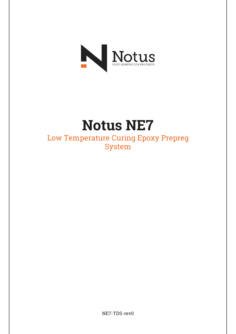

# Notus NE7

Low Temperature Curing Epoxy Prepreg System

NE7-TDS-rev0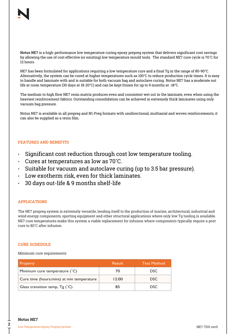Notus NE7 is a high-performance low temperature curing epoxy prepreg system that delivers significant cost savings by allowing the use of cost effective (or existing) low temperature mould tools. The standard NE7 cure cycle is 70˚C for 12 hours.

NE7 has been formulated for applications requiring a low temperature cure and a final Tg in the range of 80-90°C. Alternatively, the system can be cured at higher temperatures such as 100°C to reduce production cycle times. It is easy to handle and laminate with and is suitable for both vacuum bag and autoclave curing. Notus NE7 has a moderate out life at room temperature (30 days at 18-20°C) and can be kept frozen for up to 9 months at -18°C.

The medium to high flow NE7 resin matrix produces even and consistent wet out in the laminate, even when using the heaviest reinforcement fabrics. Outstanding consolidation can be achieved in extremely thick laminates using only vacuum bag pressure.

Notus NE7 is available in all prepreg and N1-Preg formats with unidirectional, multiaxial and woven reinforcements, it can also be supplied as a resin film.

# FEATURES AND BENEFITS

- Significant cost reduction through cost low temperature tooling.
- Cures at temperatures as low as 70˚C.
- Suitable for vacuum and autoclave curing (up to 3.5 bar pressure).
- Low exotherm risk, even for thick laminates.
- 30 days out-life & 9 months shelf-life

# APPLICATIONS

The NE7 prepreg system is extremely versatile, lending itself to the production of marine, architectural, industrial and wind energy components, sporting equipment and other structural applications where only low Tg tooling is available. NE7 cure temperatures make this system a viable replacement for infusion where components typically require a post cure to 80˚C after infusion.

# CURE SCHEDULE

Minimum cure requirements

| <b>Property</b>                            | <b>Result</b> | <b>Test Method</b> |
|--------------------------------------------|---------------|--------------------|
| Minimum cure temperature (°C)              | 70            | DSC.               |
| Cure time (hours: mins) at min temperature | 12:00         | <b>DSC</b>         |
| Glass transition temp, $Tg('C)$            | 85            | DSC.               |

2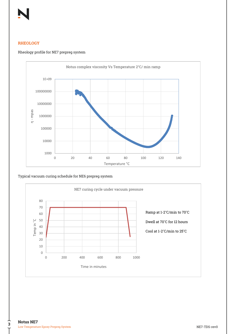

# **RHEOLOGY**

#### Rheology profile for NE7 prepreg system



## Typical vacuum curing schedule for NE6 prepreg system



3٦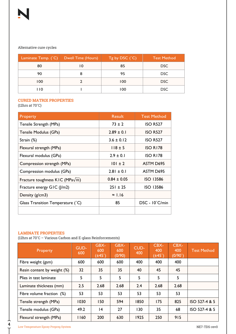# Alternative cure cycles

|      | Laminate Temp. $(^{\circ}C)$ Dwell Time (Hours) | $Tg$ by DSC $(^{\circ}C)$ | <b>Test Method</b> |
|------|-------------------------------------------------|---------------------------|--------------------|
| 80   | 10                                              | 85                        | DSC                |
| 90   |                                                 | 95                        | DSC.               |
| 100  |                                                 | 100                       | DSC                |
| I 10 |                                                 | 100                       | <b>DSC</b>         |

# CURED MATRIX PROPERTIES

(12hrs at 70˚C)

| <b>Property</b>                          | <b>Result</b>   | <b>Test Method</b> |
|------------------------------------------|-----------------|--------------------|
| Tensile Strength (MPa)                   | $73 \pm 2$      | <b>ISO R527</b>    |
| Tensile Modulus (GPa)                    | $2.89 \pm 0.1$  | <b>ISO R527</b>    |
| Strain (%)                               | $3.6 \pm 0.12$  | <b>ISO R527</b>    |
| Flexural strength (MPa)                  | $118 \pm 5$     | <b>ISO R178</b>    |
| Flexural modulus (GPa)                   | $2.9 \pm 0.1$   | <b>ISO R178</b>    |
| Compression strength (MPa)               | $101 \pm 2$     | ASTM D695          |
| Compression modulus (GPa)                | $2.81 \pm 0.1$  | ASTM D695          |
| Fracture toughness KIC (MPa $\sqrt{m}$ ) | $0.84 \pm 0.05$ | <b>ISO 13586</b>   |
| Fracture energy GIC (J/m2)               | $251 \pm 25$    | <b>ISO 13586</b>   |
| Density $(g/cm3)$                        | $\approx$ 1.16  |                    |
| Glass Transition Temperature (°C)        | 85              | DSC - 10°C/min     |
|                                          |                 |                    |

# LAMINATE PROPERTIES

(12hrs at 70˚C – Various Carbon and E-glass Reinforcements)

| <b>Property</b>             | GUD-<br>600 | GBX-<br>600<br>$(\pm 45^\circ)$ | GBX-<br>600<br>(0/90) | CUD-<br>400 | CBX-<br>400<br>$(\pm 45^\circ)$ | CBX-<br>400<br>(0/90° | <b>Test Method</b> |
|-----------------------------|-------------|---------------------------------|-----------------------|-------------|---------------------------------|-----------------------|--------------------|
| Fibre weight (gsm)          | 600         | 600                             | 600                   | 400         | 400                             | 400                   |                    |
| Resin content by weight (%) | 32          | 35                              | 35                    | 40          | 45                              | 45                    |                    |
| Plies in test laminate      | 5           | 5                               | 5                     | 5           | 5                               | 5                     |                    |
| Laminate thickness (mm)     | 2.5         | 2.68                            | 2.68                  | 2.4         | 2.68                            | 2.68                  |                    |
| Fibre volume fraction (%)   | 53          | 53                              | 53                    | 53          | 53                              | 53                    |                    |
| Tensile strength (MPa)      | 1030        | 150                             | 594                   | 1850        | 175                             | 825                   | ISO 527-4 & 5      |
| Tensile modulus (GPa)       | 49.2        | 4                               | 27                    | 130         | 35                              | 68                    | ISO 527-4 & 5      |
| Flexural strength (MPa)     | 160         | 200                             | 630                   | 1925        | 250                             | 915                   |                    |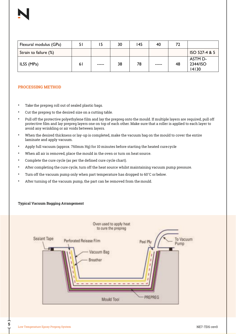| Flexural modulus (GPa) | 51  |       | 30 | 145 | 40            | 72 |                              |
|------------------------|-----|-------|----|-----|---------------|----|------------------------------|
| Strain to failure (%)  |     |       |    |     |               |    | ISO 527-4 & 5                |
| ILSS (MPa)             | 6 I | ----- | 38 | 78  | $\frac{1}{2}$ | 48 | ASTM D-<br>2344/ISO<br>14130 |

## PROCESSING METHOD

- Take the prepreg roll out of sealed plastic bags.
- Cut the prepreg to the desired size on a cutting table.
- Pull off the protective polyethylene film and lay the prepreg onto the mould. If multiple layers are required, pull off protective film and lay prepreg layers one on top of each other. Make sure that a roller is applied to each layer to avoid any wrinkling or air voids between layers.
- When the desired thickness or lay-up is completed, make the vacuum bag on the mould to cover the entire laminate and apply vacuum.
- Apply full vacuum (approx. 760mm Hg) for 10 minutes before starting the heated curecycle
- When all air is removed, place the mould in the oven or turn on heat source.
- Complete the cure cycle (as per the defined cure cycle chart).
- After completing the cure cycle, turn off the heat source whilst maintaining vacuum pump pressure.
- Turn off the vacuum pump only when part temperature has dropped to 60°C or below.
- After turning of the vacuum pump, the part can be removed from the mould.

## Typical Vacuum Bagging Arrangement



5